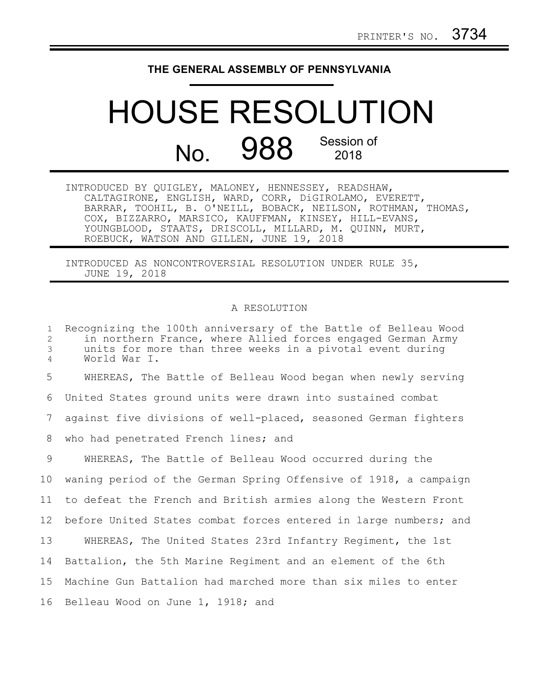## **THE GENERAL ASSEMBLY OF PENNSYLVANIA**

## HOUSE RESOLUTION No. 988 Session of 2018

| INTRODUCED BY QUIGLEY, MALONEY, HENNESSEY, READSHAW,          |
|---------------------------------------------------------------|
| CALTAGIRONE, ENGLISH, WARD, CORR, DiGIROLAMO, EVERETT,        |
| BARRAR, TOOHIL, B. O'NEILL, BOBACK, NEILSON, ROTHMAN, THOMAS, |
| COX, BIZZARRO, MARSICO, KAUFFMAN, KINSEY, HILL-EVANS,         |
| YOUNGBLOOD, STAATS, DRISCOLL, MILLARD, M. QUINN, MURT,        |
| ROEBUCK, WATSON AND GILLEN, JUNE 19, 2018                     |

INTRODUCED AS NONCONTROVERSIAL RESOLUTION UNDER RULE 35, JUNE 19, 2018

## A RESOLUTION

| $\mathbf{1}$<br>2<br>3<br>$\overline{4}$ | Recognizing the 100th anniversary of the Battle of Belleau Wood<br>in northern France, where Allied forces engaged German Army<br>units for more than three weeks in a pivotal event during<br>World War I. |
|------------------------------------------|-------------------------------------------------------------------------------------------------------------------------------------------------------------------------------------------------------------|
| 5                                        | WHEREAS, The Battle of Belleau Wood began when newly serving                                                                                                                                                |
| 6                                        | United States ground units were drawn into sustained combat                                                                                                                                                 |
| $7\phantom{.0}$                          | against five divisions of well-placed, seasoned German fighters                                                                                                                                             |
| 8                                        | who had penetrated French lines; and                                                                                                                                                                        |
| 9                                        | WHEREAS, The Battle of Belleau Wood occurred during the                                                                                                                                                     |
| 10                                       | waning period of the German Spring Offensive of 1918, a campaign                                                                                                                                            |
| 11                                       | to defeat the French and British armies along the Western Front                                                                                                                                             |
| 12                                       | before United States combat forces entered in large numbers; and                                                                                                                                            |
| 13                                       | WHEREAS, The United States 23rd Infantry Regiment, the 1st                                                                                                                                                  |
| 14                                       | Battalion, the 5th Marine Regiment and an element of the 6th                                                                                                                                                |
| 15 <sub>1</sub>                          | Machine Gun Battalion had marched more than six miles to enter                                                                                                                                              |
| 16                                       | Belleau Wood on June 1, 1918; and                                                                                                                                                                           |